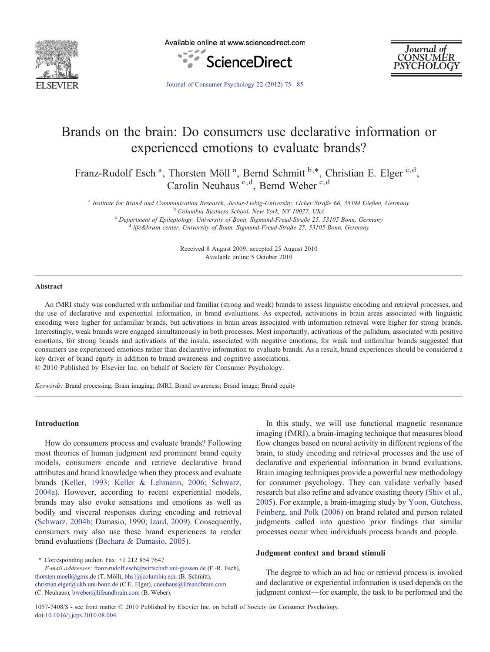

Available online at www.sciencedirect.com





[Journal of Consumer Psychology 22 \(2012\) 75](http://dx.doi.org/10.1016/j.jcps.2010.08.004)–85

## Brands on the brain: Do consumers use declarative information or experienced emotions to evaluate brands?

Franz-Rudolf Esch<sup>a</sup>, Thorsten Möll<sup>a</sup>, Bernd Schmitt<sup>b,\*</sup>, Christian E. Elger<sup>c,d</sup>, Carolin Neuhaus<sup>c,d</sup>, Bernd Weber<sup>c,d</sup>

<sup>a</sup> Institute for Brand and Communication Research, Justus-Liebig-University, Licher Straße 66, 35394 Gießen, Germany<br><sup>b</sup> Columbia Business School, New York, NY 10027, USA<br><sup>c</sup> Department of Epileptology, University of Bonn

Received 8 August 2009; accepted 25 August 2010 Available online 5 October 2010

#### Abstract

An fMRI study was conducted with unfamiliar and familiar (strong and weak) brands to assess linguistic encoding and retrieval processes, and the use of declarative and experiential information, in brand evaluations. As expected, activations in brain areas associated with linguistic encoding were higher for unfamiliar brands, but activations in brain areas associated with information retrieval were higher for strong brands. Interestingly, weak brands were engaged simultaneously in both processes. Most importantly, activations of the pallidum, associated with positive emotions, for strong brands and activations of the insula, associated with negative emotions, for weak and unfamiliar brands suggested that consumers use experienced emotions rather than declarative information to evaluate brands. As a result, brand experiences should be considered a key driver of brand equity in addition to brand awareness and cognitive associations.

© 2010 Published by Elsevier Inc. on behalf of Society for Consumer Psychology.

Keywords: Brand processing; Brain imaging; fMRI; Brand awareness; Brand image; Brand equity

#### Introduction

How do consumers process and evaluate brands? Following most theories of human judgment and prominent brand equity models, consumers encode and retrieve declarative brand attributes and brand knowledge when they process and evaluate brands ([Keller, 1993; Keller & Lehmann, 2006; Schwarz,](#page--1-0) [2004a\)](#page--1-0). However, according to recent experiential models, brands may also evoke sensations and emotions as well as bodily and visceral responses during encoding and retrieval ([Schwarz, 2004b](#page--1-0); Damasio, 1990; [Izard, 2009\)](#page--1-0). Consequently, consumers may also use these brand experiences to render brand evaluations [\(Bechara & Damasio, 2005\)](#page--1-0).

 $*$  Corresponding author. Fax:  $+1$  212 854 7647. E-mail addresses: [franz-rudolf.esch@wirtschaft.uni-giessen.de](mailto:franz-rudolf.esch@wirtschaft.uni-giessen.de) (F.-R. Esch), [thorsten.moell@gmx.de](mailto:thorsten.moell@gmx.de) (T. Möll), [bhs1@columbia.edu](mailto:bhs1@columbia.edu) (B. Schmitt), [christian.elger@ukb.uni-bonn.de](mailto:christian.elger@ukb.uni-bonn.de) (C.E. Elger), [cneuhaus@lifeandbrain.com](mailto:cneuhaus@lifeandbrain.com) (C. Neuhaus), [bweber@lifeandbrain.com](mailto:bweber@lifeandbrain.com) (B. Weber).

In this study, we will use functional magnetic resonance imaging (fMRI), a brain-imaging technique that measures blood flow changes based on neural activity in different regions of the brain, to study encoding and retrieval processes and the use of declarative and experiential information in brand evaluations. Brain imaging techniques provide a powerful new methodology for consumer psychology. They can validate verbally based research but also refine and advance existing theory ([Shiv et al.,](#page--1-0) [2005](#page--1-0)). For example, a brain-imaging study by [Yoon, Gutchess,](#page--1-0) [Feinberg, and Polk \(2006\)](#page--1-0) on brand related and person related judgments called into question prior findings that similar processes occur when individuals process brands and people.

### Judgment context and brand stimuli

The degree to which an ad hoc or retrieval process is invoked and declarative or experiential information is used depends on the judgment context—for example, the task to be performed and the

1057-7408/\$ - see front matter © 2010 Published by Elsevier Inc. on behalf of Society for Consumer Psychology. doi:[10.1016/j.jcps.2010.08.004](http://dx.doi.org/10.1016/j.jcps.2010.08.004)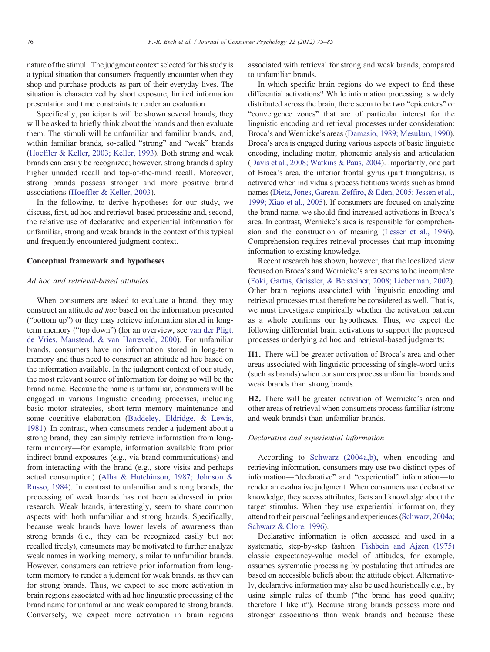nature of the stimuli. The judgment context selected for this study is a typical situation that consumers frequently encounter when they shop and purchase products as part of their everyday lives. The situation is characterized by short exposure, limited information presentation and time constraints to render an evaluation.

Specifically, participants will be shown several brands; they will be asked to briefly think about the brands and then evaluate them. The stimuli will be unfamiliar and familiar brands, and, within familiar brands, so-called "strong" and "weak" brands ([Hoeffler & Keller, 2003; Keller, 1993\)](#page--1-0). Both strong and weak brands can easily be recognized; however, strong brands display higher unaided recall and top-of-the-mind recall. Moreover, strong brands possess stronger and more positive brand associations ([Hoeffler & Keller, 2003\)](#page--1-0).

In the following, to derive hypotheses for our study, we discuss, first, ad hoc and retrieval-based processing and, second, the relative use of declarative and experiential information for unfamiliar, strong and weak brands in the context of this typical and frequently encountered judgment context.

#### Conceptual framework and hypotheses

#### Ad hoc and retrieval-based attitudes

When consumers are asked to evaluate a brand, they may construct an attitude ad hoc based on the information presented ("bottom up") or they may retrieve information stored in longterm memory ("top down") (for an overview, see [van der Pligt,](#page--1-0) [de Vries, Manstead, & van Harreveld, 2000](#page--1-0)). For unfamiliar brands, consumers have no information stored in long-term memory and thus need to construct an attitude ad hoc based on the information available. In the judgment context of our study, the most relevant source of information for doing so will be the brand name. Because the name is unfamiliar, consumers will be engaged in various linguistic encoding processes, including basic motor strategies, short-term memory maintenance and some cognitive elaboration ([Baddeley, Eldridge, & Lewis,](#page--1-0) [1981\)](#page--1-0). In contrast, when consumers render a judgment about a strong brand, they can simply retrieve information from longterm memory—for example, information available from prior indirect brand exposures (e.g., via brand communications) and from interacting with the brand (e.g., store visits and perhaps actual consumption) ([Alba & Hutchinson, 1987; Johnson &](#page--1-0) [Russo, 1984\)](#page--1-0). In contrast to unfamiliar and strong brands, the processing of weak brands has not been addressed in prior research. Weak brands, interestingly, seem to share common aspects with both unfamiliar and strong brands. Specifically, because weak brands have lower levels of awareness than strong brands (i.e., they can be recognized easily but not recalled freely), consumers may be motivated to further analyze weak names in working memory, similar to unfamiliar brands. However, consumers can retrieve prior information from longterm memory to render a judgment for weak brands, as they can for strong brands. Thus, we expect to see more activation in brain regions associated with ad hoc linguistic processing of the brand name for unfamiliar and weak compared to strong brands. Conversely, we expect more activation in brain regions associated with retrieval for strong and weak brands, compared to unfamiliar brands.

In which specific brain regions do we expect to find these differential activations? While information processing is widely distributed across the brain, there seem to be two "epicenters" or "convergence zones" that are of particular interest for the linguistic encoding and retrieval processes under consideration: Broca's and Wernicke's areas ([Damasio, 1989; Mesulam, 1990](#page--1-0)). Broca's area is engaged during various aspects of basic linguistic encoding, including motor, phonemic analysis and articulation ([Davis et al., 2008; Watkins & Paus, 2004\)](#page--1-0). Importantly, one part of Broca's area, the inferior frontal gyrus (part triangularis), is activated when individuals process fictitious words such as brand names ([Dietz, Jones, Gareau, Zeffiro, & Eden, 2005; Jessen et al.,](#page--1-0) [1999; Xiao et al., 2005\)](#page--1-0). If consumers are focused on analyzing the brand name, we should find increased activations in Broca's area. In contrast, Wernicke's area is responsible for comprehension and the construction of meaning ([Lesser et al., 1986](#page--1-0)). Comprehension requires retrieval processes that map incoming information to existing knowledge.

Recent research has shown, however, that the localized view focused on Broca's and Wernicke's area seems to be incomplete ([Foki, Gartus, Geissler, & Beisteiner, 2008; Lieberman, 2002](#page--1-0)). Other brain regions associated with linguistic encoding and retrieval processes must therefore be considered as well. That is, we must investigate empirically whether the activation pattern as a whole confirms our hypotheses. Thus, we expect the following differential brain activations to support the proposed processes underlying ad hoc and retrieval-based judgments:

H1. There will be greater activation of Broca's area and other areas associated with linguistic processing of single-word units (such as brands) when consumers process unfamiliar brands and weak brands than strong brands.

H2. There will be greater activation of Wernicke's area and other areas of retrieval when consumers process familiar (strong and weak brands) than unfamiliar brands.

#### Declarative and experiential information

According to [Schwarz \(2004a,b\)](#page--1-0), when encoding and retrieving information, consumers may use two distinct types of information—"declarative" and "experiential" information—to render an evaluative judgment. When consumers use declarative knowledge, they access attributes, facts and knowledge about the target stimulus. When they use experiential information, they attend to their personal feelings and experiences ([Schwarz, 2004a;](#page--1-0) [Schwarz & Clore, 1996](#page--1-0)).

Declarative information is often accessed and used in a systematic, step-by-step fashion. [Fishbein and Ajzen \(1975\)](#page--1-0) classic expectancy-value model of attitudes, for example, assumes systematic processing by postulating that attitudes are based on accessible beliefs about the attitude object. Alternatively, declarative information may also be used heuristically e.g., by using simple rules of thumb ("the brand has good quality; therefore I like it"). Because strong brands possess more and stronger associations than weak brands and because these